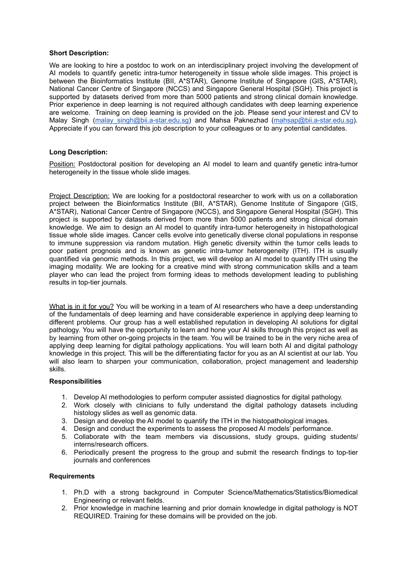## **Short Description:**

We are looking to hire a postdoc to work on an interdisciplinary project involving the development of AI models to quantify genetic intra-tumor heterogeneity in tissue whole slide images. This project is between the Bioinformatics Institute (BII, A\*STAR), Genome Institute of Singapore (GIS, A\*STAR), National Cancer Centre of Singapore (NCCS) and Singapore General Hospital (SGH). This project is supported by datasets derived from more than 5000 patients and strong clinical domain knowledge. Prior experience in deep learning is not required although candidates with deep learning experience are welcome. Training on deep learning is provided on the job. Please send your interest and CV to Malay Singh (malay singh@bii.a-star.edu.sg) and Mahsa Paknezhad [\(mahsap@bii.a-star.edu.sg](mailto:mahsap@bii.a-star.edu.sg)). Appreciate if you can forward this job description to your colleagues or to any potential candidates.

## **Long Description:**

Position: Postdoctoral position for developing an AI model to learn and quantify genetic intra-tumor heterogeneity in the tissue whole slide images.

Project Description: We are looking for a postdoctoral researcher to work with us on a collaboration project between the Bioinformatics Institute (BII, A\*STAR), Genome Institute of Singapore (GIS, A\*STAR), National Cancer Centre of Singapore (NCCS), and Singapore General Hospital (SGH). This project is supported by datasets derived from more than 5000 patients and strong clinical domain knowledge. We aim to design an AI model to quantify intra-tumor heterogeneity in histopathological tissue whole slide images. Cancer cells evolve into genetically diverse clonal populations in response to immune suppression via random mutation. High genetic diversity within the tumor cells leads to poor patient prognosis and is known as genetic intra-tumor heterogeneity (ITH). ITH is usually quantified via genomic methods. In this project, we will develop an AI model to quantify ITH using the imaging modality. We are looking for a creative mind with strong communication skills and a team player who can lead the project from forming ideas to methods development leading to publishing results in top-tier journals.

What is in it for you? You will be working in a team of AI researchers who have a deep understanding of the fundamentals of deep learning and have considerable experience in applying deep learning to different problems. Our group has a well established reputation in developing AI solutions for digital pathology. You will have the opportunity to learn and hone your AI skills through this project as well as by learning from other on-going projects in the team. You will be trained to be in the very niche area of applying deep learning for digital pathology applications. You will learn both AI and digital pathology knowledge in this project. This will be the differentiating factor for you as an AI scientist at our lab. You will also learn to sharpen your communication, collaboration, project management and leadership skills.

## **Responsibilities**

- 1. Develop AI methodologies to perform computer assisted diagnostics for digital pathology.
- 2. Work closely with clinicians to fully understand the digital pathology datasets including histology slides as well as genomic data.
- 3. Design and develop the AI model to quantify the ITH in the histopathological images.
- 4. Design and conduct the experiments to assess the proposed AI models' performance.
- 5. Collaborate with the team members via discussions, study groups, guiding students/ interns/research officers.
- 6. Periodically present the progress to the group and submit the research findings to top-tier journals and conferences

## **Requirements**

- 1. Ph.D with a strong background in Computer Science/Mathematics/Statistics/Biomedical Engineering or relevant fields.
- 2. Prior knowledge in machine learning and prior domain knowledge in digital pathology is NOT REQUIRED. Training for these domains will be provided on the job.